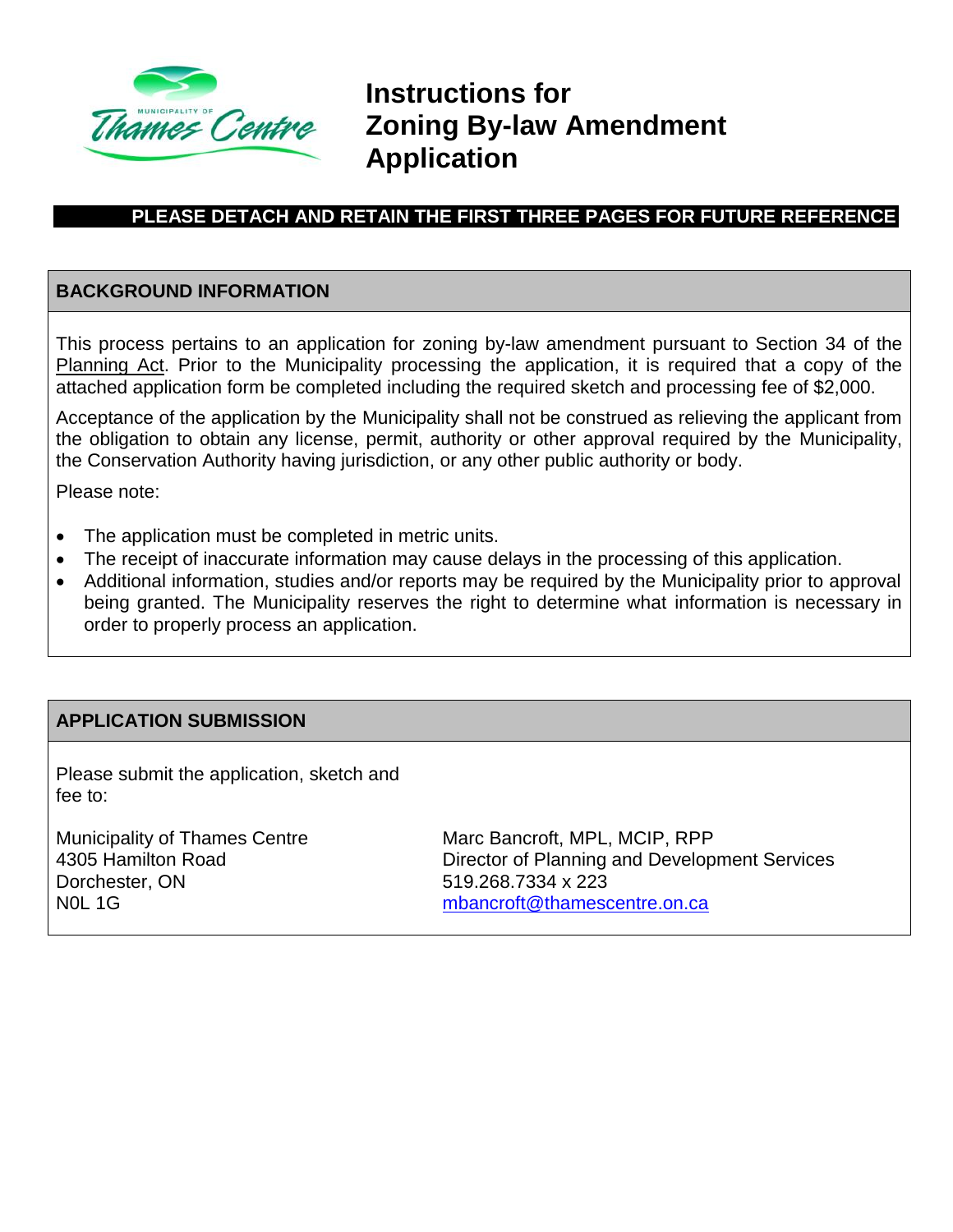

**Instructions for Zoning By-law Amendment Application**

# **PLEASE DETACH AND RETAIN THE FIRST THREE PAGES FOR FUTURE REFERENCE**

#### **BACKGROUND INFORMATION**

This process pertains to an application for zoning by-law amendment pursuant to Section 34 of the Planning Act. Prior to the Municipality processing the application, it is required that a copy of the attached application form be completed including the required sketch and processing fee of \$2,000.

Acceptance of the application by the Municipality shall not be construed as relieving the applicant from the obligation to obtain any license, permit, authority or other approval required by the Municipality, the Conservation Authority having jurisdiction, or any other public authority or body.

Please note:

- The application must be completed in metric units.
- The receipt of inaccurate information may cause delays in the processing of this application.
- Additional information, studies and/or reports may be required by the Municipality prior to approval being granted. The Municipality reserves the right to determine what information is necessary in order to properly process an application.

#### **APPLICATION SUBMISSION**

Please submit the application, sketch and fee to:

Municipality of Thames Centre 4305 Hamilton Road Dorchester, ON N0L 1G

Marc Bancroft, MPL, MCIP, RPP Director of Planning and Development Services 519.268.7334 x 223 [mbancroft@thamescentre.on.ca](mailto:mbancroft@thamescentre.on.ca)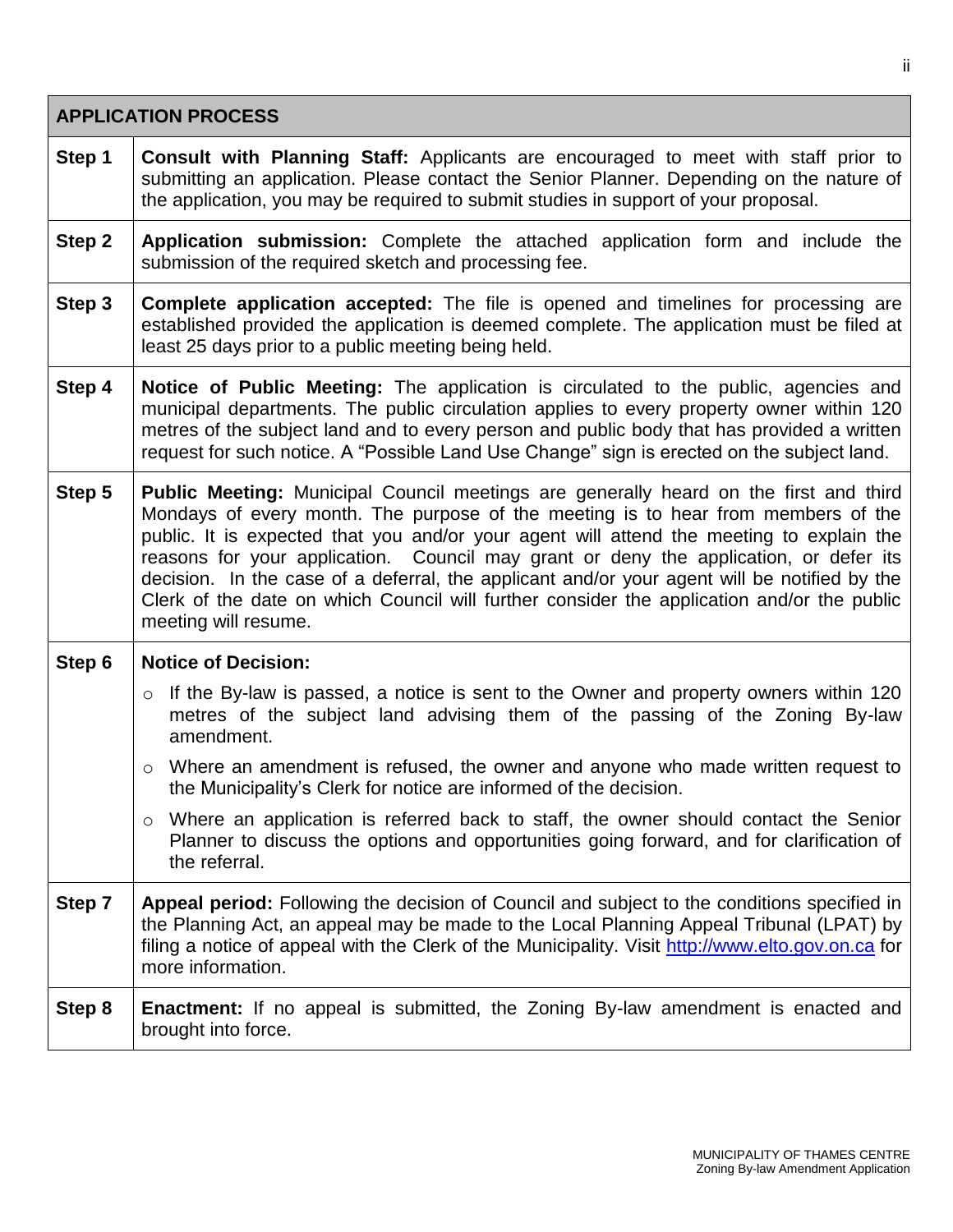|        | <b>APPLICATION PROCESS</b>                                                                                                                                                                                                                                                                                                                                                                                                                                                                                                                                                                   |  |  |  |  |  |
|--------|----------------------------------------------------------------------------------------------------------------------------------------------------------------------------------------------------------------------------------------------------------------------------------------------------------------------------------------------------------------------------------------------------------------------------------------------------------------------------------------------------------------------------------------------------------------------------------------------|--|--|--|--|--|
| Step 1 | <b>Consult with Planning Staff:</b> Applicants are encouraged to meet with staff prior to<br>submitting an application. Please contact the Senior Planner. Depending on the nature of<br>the application, you may be required to submit studies in support of your proposal.                                                                                                                                                                                                                                                                                                                 |  |  |  |  |  |
| Step 2 | Application submission: Complete the attached application form and include the<br>submission of the required sketch and processing fee.                                                                                                                                                                                                                                                                                                                                                                                                                                                      |  |  |  |  |  |
| Step 3 | <b>Complete application accepted:</b> The file is opened and timelines for processing are<br>established provided the application is deemed complete. The application must be filed at<br>least 25 days prior to a public meeting being held.                                                                                                                                                                                                                                                                                                                                                |  |  |  |  |  |
| Step 4 | Notice of Public Meeting: The application is circulated to the public, agencies and<br>municipal departments. The public circulation applies to every property owner within 120<br>metres of the subject land and to every person and public body that has provided a written<br>request for such notice. A "Possible Land Use Change" sign is erected on the subject land.                                                                                                                                                                                                                  |  |  |  |  |  |
| Step 5 | <b>Public Meeting:</b> Municipal Council meetings are generally heard on the first and third<br>Mondays of every month. The purpose of the meeting is to hear from members of the<br>public. It is expected that you and/or your agent will attend the meeting to explain the<br>reasons for your application. Council may grant or deny the application, or defer its<br>decision. In the case of a deferral, the applicant and/or your agent will be notified by the<br>Clerk of the date on which Council will further consider the application and/or the public<br>meeting will resume. |  |  |  |  |  |
| Step 6 | <b>Notice of Decision:</b>                                                                                                                                                                                                                                                                                                                                                                                                                                                                                                                                                                   |  |  |  |  |  |
|        | o If the By-law is passed, a notice is sent to the Owner and property owners within 120<br>metres of the subject land advising them of the passing of the Zoning By-law<br>amendment.                                                                                                                                                                                                                                                                                                                                                                                                        |  |  |  |  |  |
|        | Where an amendment is refused, the owner and anyone who made written request to<br>$\circ$<br>the Municipality's Clerk for notice are informed of the decision.                                                                                                                                                                                                                                                                                                                                                                                                                              |  |  |  |  |  |
|        | Where an application is referred back to staff, the owner should contact the Senior<br>$\circ$<br>Planner to discuss the options and opportunities going forward, and for clarification of<br>the referral.                                                                                                                                                                                                                                                                                                                                                                                  |  |  |  |  |  |
| Step 7 | Appeal period: Following the decision of Council and subject to the conditions specified in<br>the Planning Act, an appeal may be made to the Local Planning Appeal Tribunal (LPAT) by<br>filing a notice of appeal with the Clerk of the Municipality. Visit http://www.elto.gov.on.ca for<br>more information.                                                                                                                                                                                                                                                                             |  |  |  |  |  |
| Step 8 | <b>Enactment:</b> If no appeal is submitted, the Zoning By-law amendment is enacted and<br>brought into force.                                                                                                                                                                                                                                                                                                                                                                                                                                                                               |  |  |  |  |  |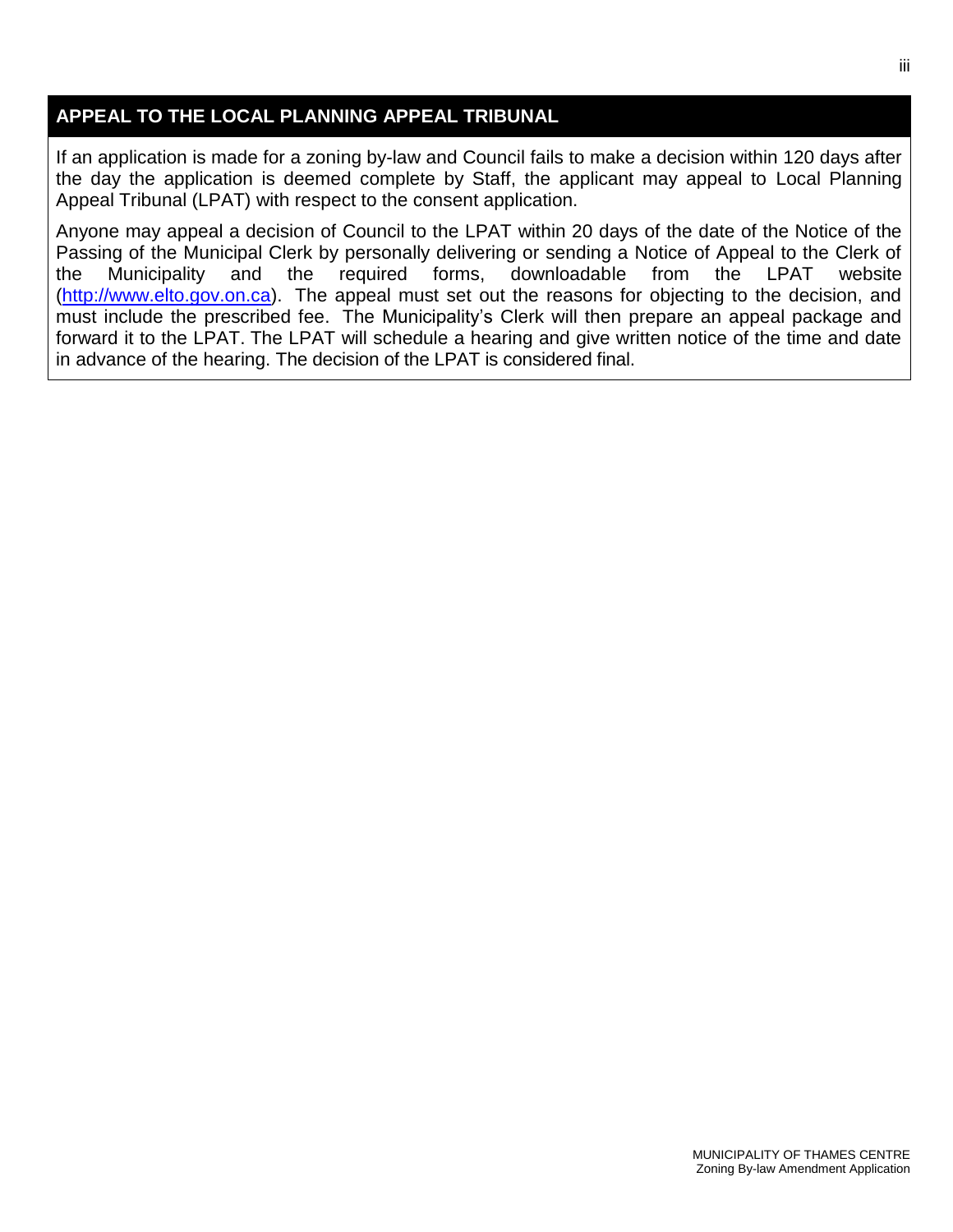## **APPEAL TO THE LOCAL PLANNING APPEAL TRIBUNAL**

If an application is made for a zoning by-law and Council fails to make a decision within 120 days after the day the application is deemed complete by Staff, the applicant may appeal to Local Planning Appeal Tribunal (LPAT) with respect to the consent application.

Anyone may appeal a decision of Council to the LPAT within 20 days of the date of the Notice of the Passing of the Municipal Clerk by personally delivering or sending a Notice of Appeal to the Clerk of the Municipality and the required forms, downloadable from the LPAT website [\(http://www.elto.gov.on.ca\)](http://www.elto.gov.on.ca/). The appeal must set out the reasons for objecting to the decision, and must include the prescribed fee. The Municipality's Clerk will then prepare an appeal package and forward it to the LPAT. The LPAT will schedule a hearing and give written notice of the time and date in advance of the hearing. The decision of the LPAT is considered final.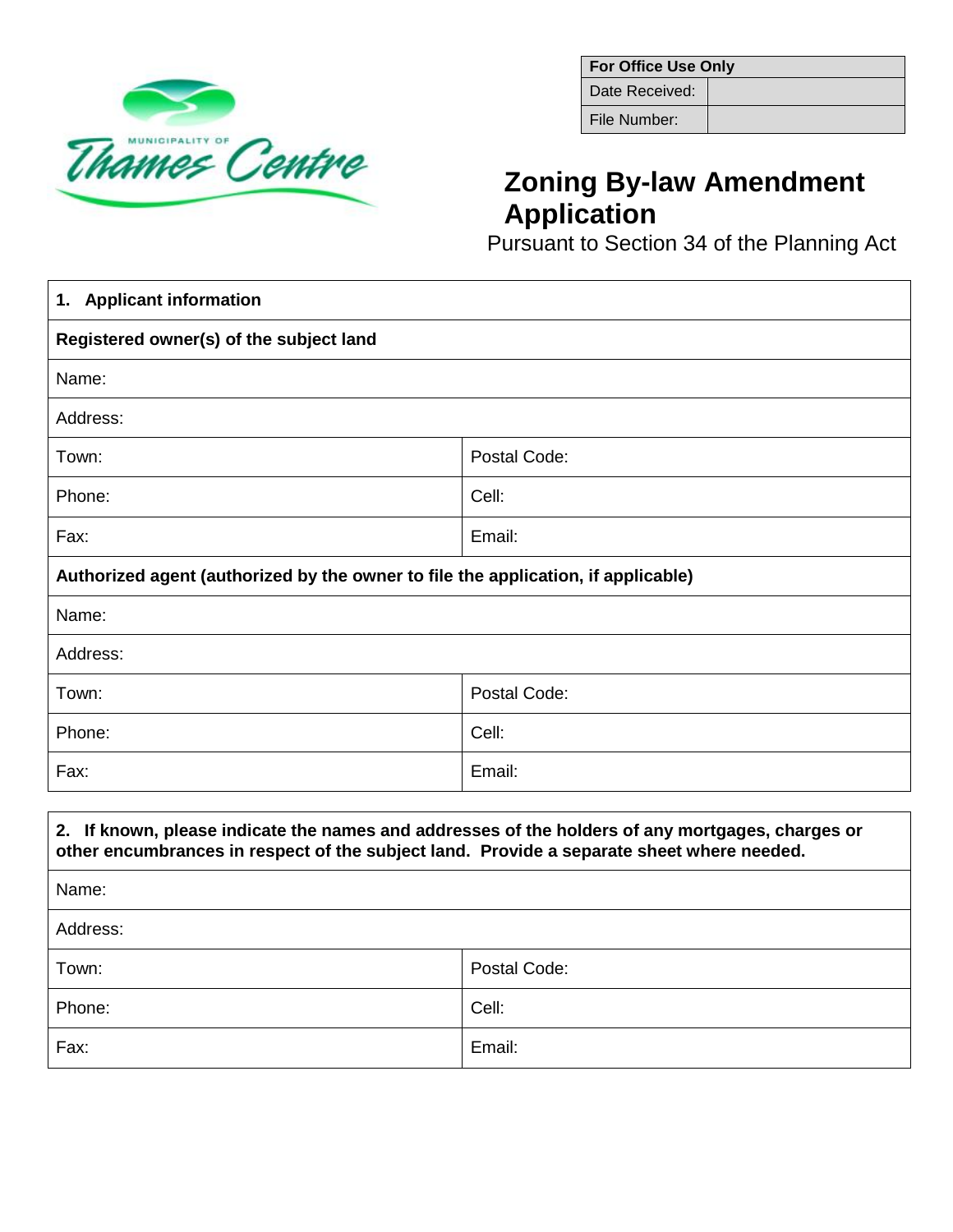

| <b>For Office Use Only</b> |  |  |  |  |  |
|----------------------------|--|--|--|--|--|
| Date Received:             |  |  |  |  |  |
| File Number:               |  |  |  |  |  |

# **Zoning By-law Amendment Application**

Pursuant to Section 34 of the Planning Act

| 1. Applicant information                                                                         |              |  |  |  |  |
|--------------------------------------------------------------------------------------------------|--------------|--|--|--|--|
| Registered owner(s) of the subject land                                                          |              |  |  |  |  |
| Name:                                                                                            |              |  |  |  |  |
| Address:                                                                                         |              |  |  |  |  |
| Town:                                                                                            | Postal Code: |  |  |  |  |
| Phone:                                                                                           | Cell:        |  |  |  |  |
| Fax:                                                                                             | Email:       |  |  |  |  |
| Authorized agent (authorized by the owner to file the application, if applicable)                |              |  |  |  |  |
| Name:                                                                                            |              |  |  |  |  |
| Address:                                                                                         |              |  |  |  |  |
| Town:                                                                                            | Postal Code: |  |  |  |  |
| Phone:                                                                                           | Cell:        |  |  |  |  |
| Fax:                                                                                             | Email:       |  |  |  |  |
| 2. If known, please indicate the names and addresses of the holders of any mortgages, charges or |              |  |  |  |  |
| other encumbrances in respect of the subject land. Provide a separate sheet where needed.        |              |  |  |  |  |
| Name:                                                                                            |              |  |  |  |  |
| Address:                                                                                         |              |  |  |  |  |
| Town:                                                                                            | Postal Code: |  |  |  |  |
| Phone:                                                                                           | Cell:        |  |  |  |  |
| Fax:                                                                                             | Email:       |  |  |  |  |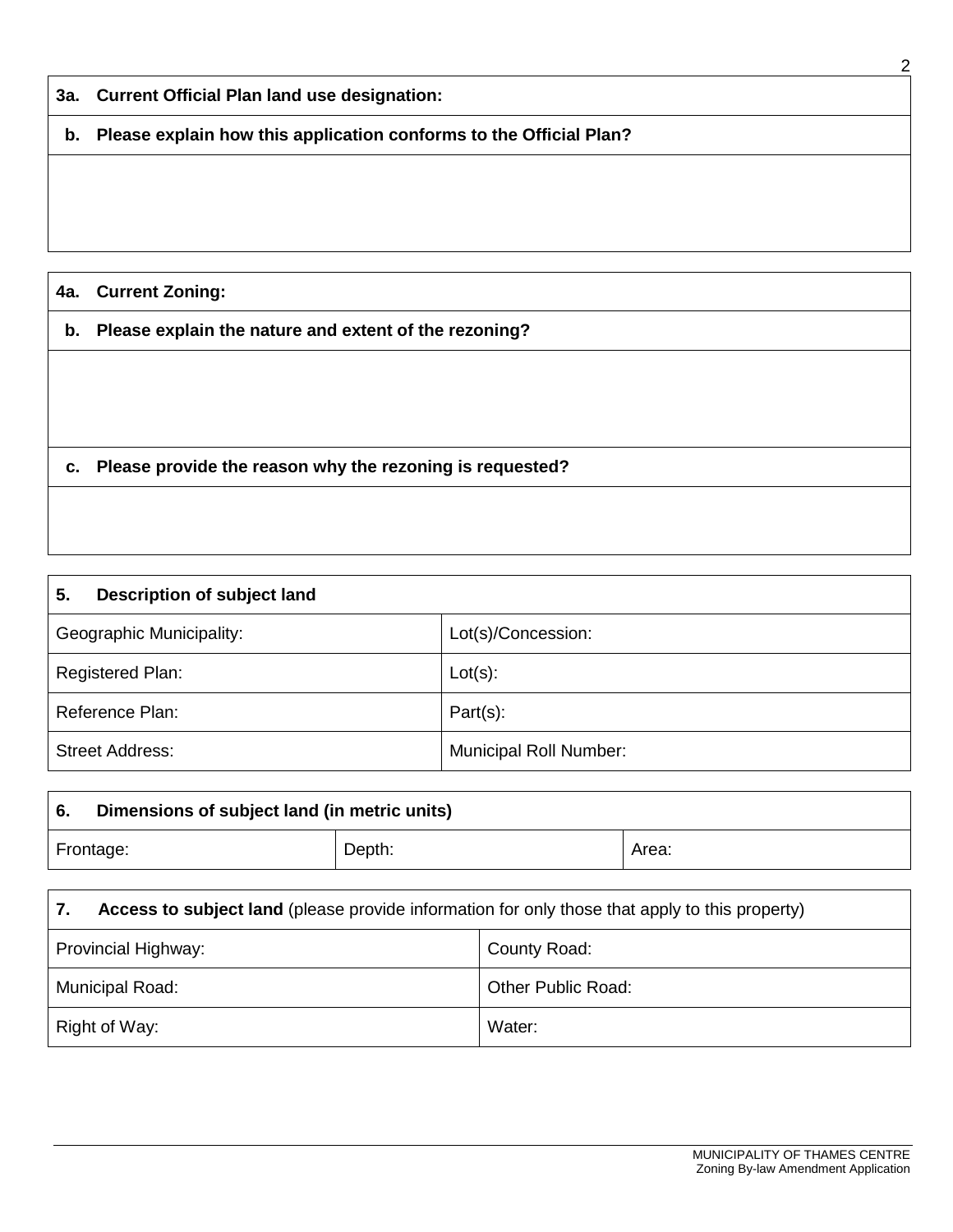|     |                                                                    | 2 |
|-----|--------------------------------------------------------------------|---|
|     | 3a. Current Official Plan land use designation:                    |   |
| b.  | Please explain how this application conforms to the Official Plan? |   |
|     |                                                                    |   |
|     |                                                                    |   |
|     |                                                                    |   |
| 4a. | <b>Current Zoning:</b>                                             |   |
| b.  | Please explain the nature and extent of the rezoning?              |   |
|     |                                                                    |   |
|     |                                                                    |   |
|     |                                                                    |   |
| С.  | Please provide the reason why the rezoning is requested?           |   |
|     |                                                                    |   |

| Description of subject land<br>5. |                               |  |  |  |  |  |
|-----------------------------------|-------------------------------|--|--|--|--|--|
| Geographic Municipality:          | Lot(s)/Concession:            |  |  |  |  |  |
| Registered Plan:                  | $Lot(s)$ :                    |  |  |  |  |  |
| Reference Plan:                   | $Part(s)$ :                   |  |  |  |  |  |
| <b>Street Address:</b>            | <b>Municipal Roll Number:</b> |  |  |  |  |  |

| -6.                 | Dimensions of subject land (in metric units)                                                   |  |       |  |  |  |  |
|---------------------|------------------------------------------------------------------------------------------------|--|-------|--|--|--|--|
| Depth:<br>Frontage: |                                                                                                |  | Area: |  |  |  |  |
|                     |                                                                                                |  |       |  |  |  |  |
|                     | Access to subject land (please provide information for only those that apply to this property) |  |       |  |  |  |  |

| Provincial Highway: | County Road:       |
|---------------------|--------------------|
| Municipal Road:     | Other Public Road: |
| Right of Way:       | Water:             |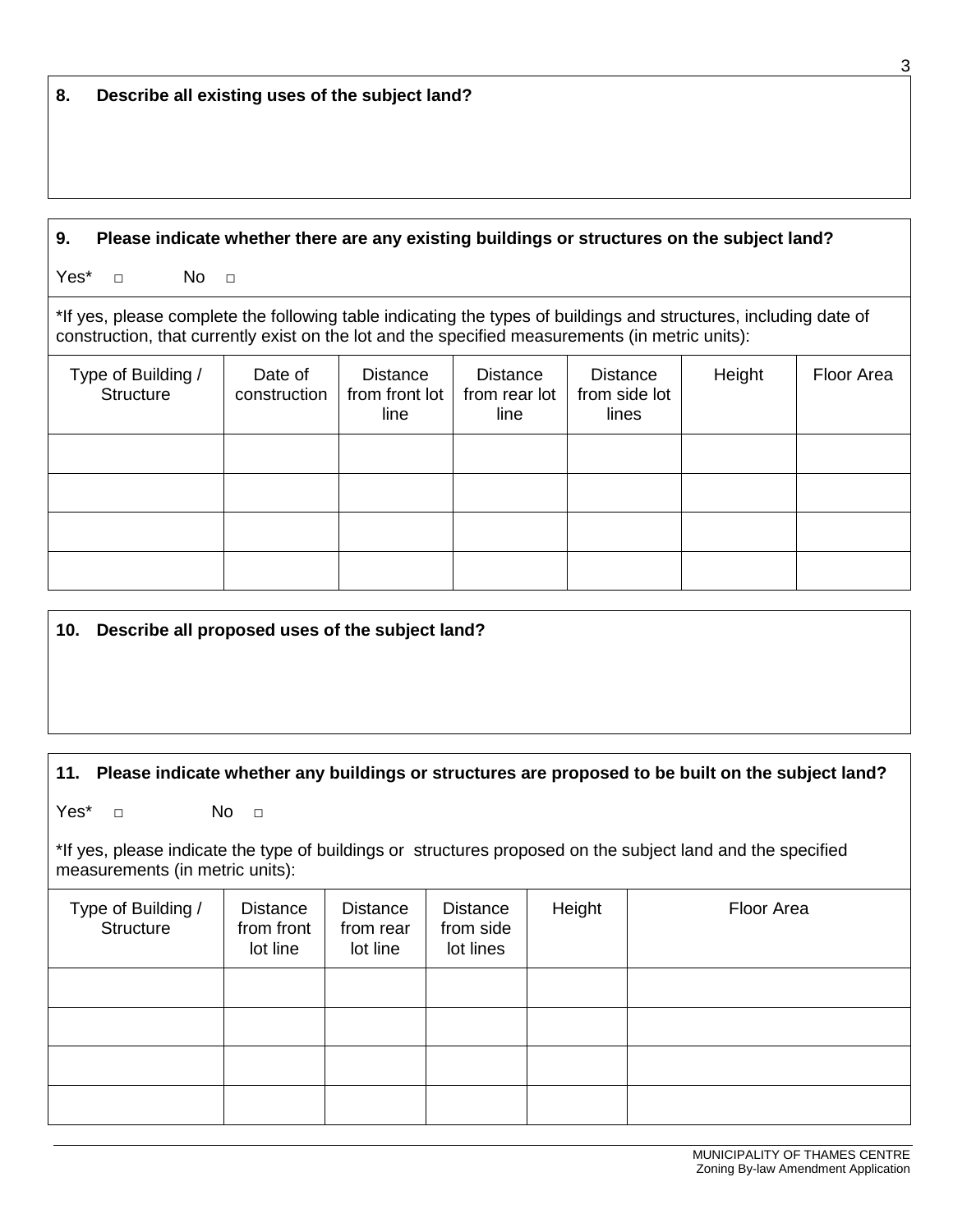#### **9. Please indicate whether there are any existing buildings or structures on the subject land?**

Yes\* □ No □

\*If yes, please complete the following table indicating the types of buildings and structures, including date of construction, that currently exist on the lot and the specified measurements (in metric units):

| Type of Building /<br>Structure | Date of<br>construction | <b>Distance</b><br>from front lot<br>line | <b>Distance</b><br>from rear lot<br>line | <b>Distance</b><br>from side lot<br>lines | Height | Floor Area |
|---------------------------------|-------------------------|-------------------------------------------|------------------------------------------|-------------------------------------------|--------|------------|
|                                 |                         |                                           |                                          |                                           |        |            |
|                                 |                         |                                           |                                          |                                           |        |            |
|                                 |                         |                                           |                                          |                                           |        |            |
|                                 |                         |                                           |                                          |                                           |        |            |

#### **10. Describe all proposed uses of the subject land?**

### **11. Please indicate whether any buildings or structures are proposed to be built on the subject land?**

Yes\* □ No □

\*If yes, please indicate the type of buildings or structures proposed on the subject land and the specified measurements (in metric units):

| Type of Building /<br>Structure | Distance<br>from front<br>lot line | Distance<br>from rear<br>lot line | Distance<br>from side<br>lot lines | Height | Floor Area |
|---------------------------------|------------------------------------|-----------------------------------|------------------------------------|--------|------------|
|                                 |                                    |                                   |                                    |        |            |
|                                 |                                    |                                   |                                    |        |            |
|                                 |                                    |                                   |                                    |        |            |
|                                 |                                    |                                   |                                    |        |            |

3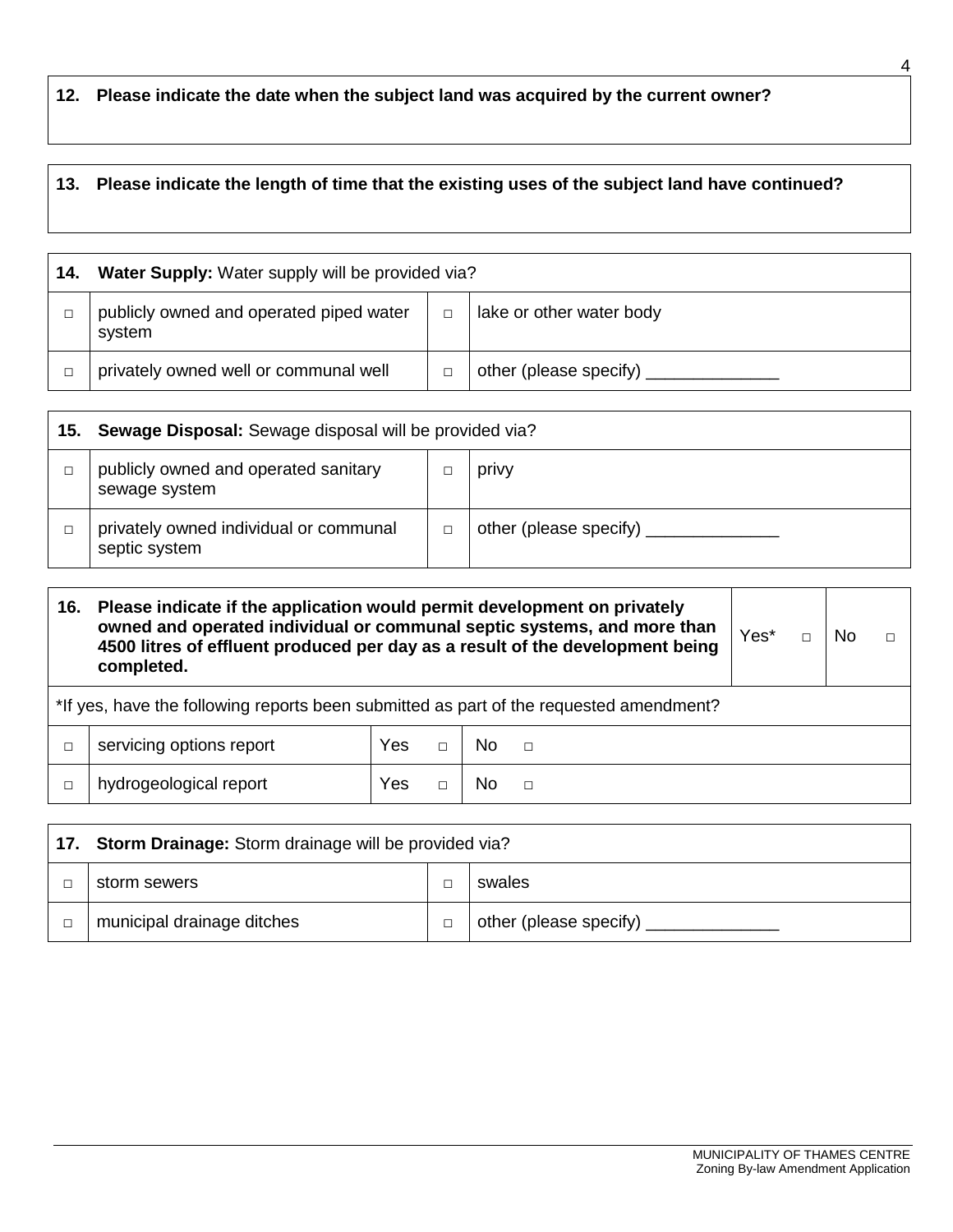## **12. Please indicate the date when the subject land was acquired by the current owner?**

# **13. Please indicate the length of time that the existing uses of the subject land have continued?**

| 14. | Water Supply: Water supply will be provided via?  |  |                          |  |  |  |
|-----|---------------------------------------------------|--|--------------------------|--|--|--|
|     | publicly owned and operated piped water<br>system |  | lake or other water body |  |  |  |
|     | privately owned well or communal well             |  | other (please specify)   |  |  |  |

| 15. | <b>Sewage Disposal:</b> Sewage disposal will be provided via? |  |                               |  |  |  |
|-----|---------------------------------------------------------------|--|-------------------------------|--|--|--|
|     | publicly owned and operated sanitary<br>sewage system         |  | privy                         |  |  |  |
|     | privately owned individual or communal<br>septic system       |  | other (please specify) ______ |  |  |  |

| 16. | Please indicate if the application would permit development on privately<br>owned and operated individual or communal septic systems, and more than<br>4500 litres of effluent produced per day as a result of the development being<br>completed. |     |  |     |  |  |  | Nο |  |
|-----|----------------------------------------------------------------------------------------------------------------------------------------------------------------------------------------------------------------------------------------------------|-----|--|-----|--|--|--|----|--|
|     | *If yes, have the following reports been submitted as part of the requested amendment?                                                                                                                                                             |     |  |     |  |  |  |    |  |
|     | servicing options report<br>Yes<br>No.<br>$\Box$                                                                                                                                                                                                   |     |  |     |  |  |  |    |  |
|     | hydrogeological report                                                                                                                                                                                                                             | Yes |  | No. |  |  |  |    |  |

| 17. Storm Drainage: Storm drainage will be provided via? |  |                           |  |
|----------------------------------------------------------|--|---------------------------|--|
| storm sewers                                             |  | swales                    |  |
| municipal drainage ditches                               |  | other (please specify) __ |  |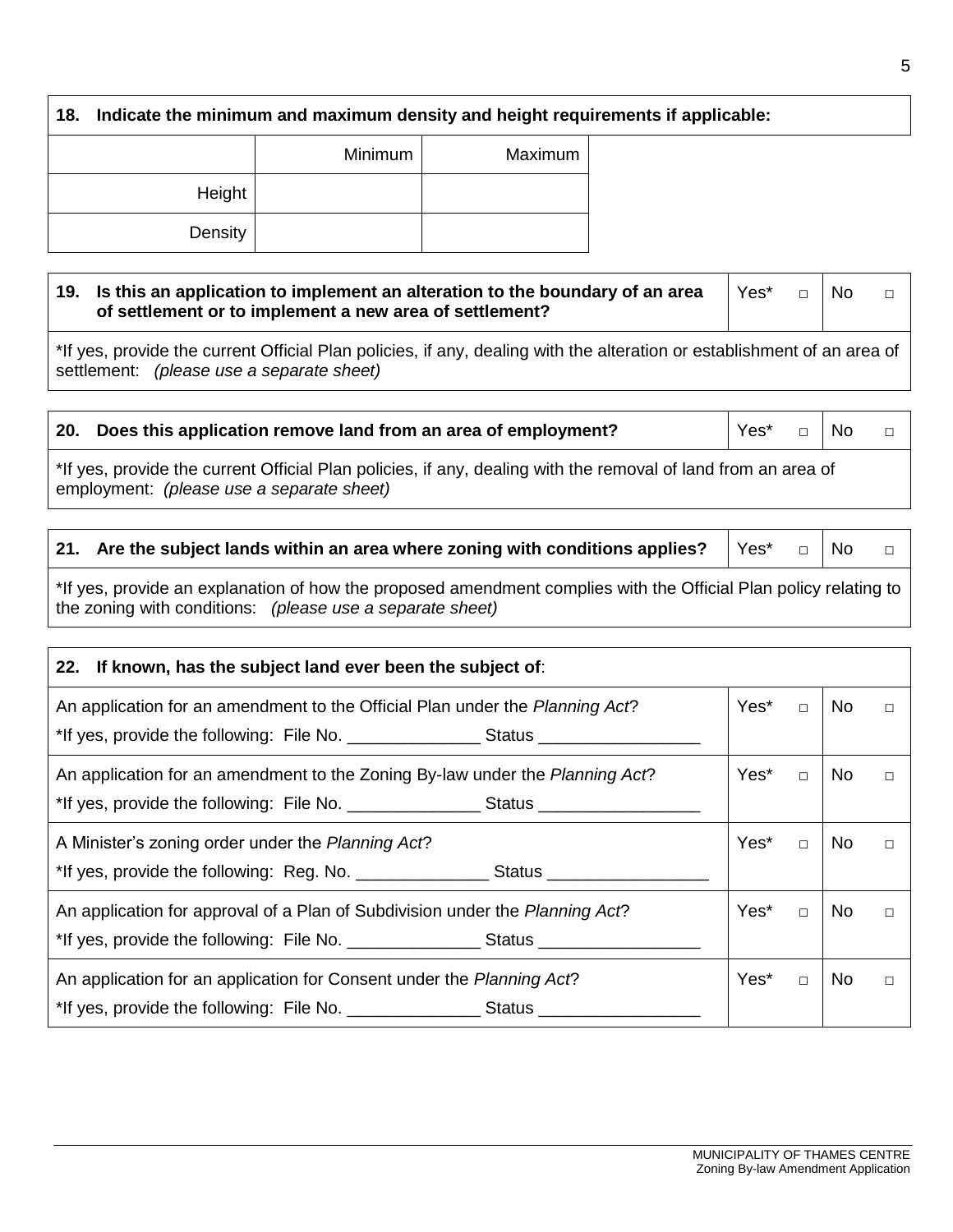**18. Indicate the minimum and maximum density and height requirements if applicable:**

|         | Minimum | Maximum |
|---------|---------|---------|
| Height  |         |         |
| Density |         |         |

#### **19. Is this an application to implement an alteration to the boundary of an area of settlement or to implement a new area of settlement?** Yes\* □ No □

\*If yes, provide the current Official Plan policies, if any, dealing with the alteration or establishment of an area of settlement: *(please use a separate sheet)*

|                                                                                                                                                                                                                                  | 20. Does this application remove land from an area of employment? |  |  | Yes* □ No |  |
|----------------------------------------------------------------------------------------------------------------------------------------------------------------------------------------------------------------------------------|-------------------------------------------------------------------|--|--|-----------|--|
| $\star$ through the compact Official Diamond is a contribution of the contribution of the second of the state of the second of the state of the state of the state of the state of the state of the state of the state of the st |                                                                   |  |  |           |  |

\*If yes, provide the current Official Plan policies, if any, dealing with the removal of land from an area of employment: *(please use a separate sheet)*

#### **21.** Are the subject lands within an area where zoning with conditions applies?  $\forall$ es\* □ No □

\*If yes, provide an explanation of how the proposed amendment complies with the Official Plan policy relating to the zoning with conditions: *(please use a separate sheet)*

| 22. If known, has the subject land ever been the subject of:                      |      |        |     |        |  |
|-----------------------------------------------------------------------------------|------|--------|-----|--------|--|
| An application for an amendment to the Official Plan under the Planning Act?      |      |        | No  | $\Box$ |  |
| *If yes, provide the following: File No. ___________________Status ______________ |      |        |     |        |  |
| An application for an amendment to the Zoning By-law under the Planning Act?      |      |        | No  | $\Box$ |  |
| *If yes, provide the following: File No. __________________Status ______________  |      |        |     |        |  |
| A Minister's zoning order under the Planning Act?                                 | Yes* | $\Box$ | No. |        |  |
| *If yes, provide the following: Reg. No. _________________Status _______________  |      |        |     |        |  |
| An application for approval of a Plan of Subdivision under the Planning Act?      | Yes* | $\Box$ | No. |        |  |
|                                                                                   |      |        |     |        |  |
| An application for an application for Consent under the Planning Act?             |      |        | No. | $\Box$ |  |
|                                                                                   |      |        |     |        |  |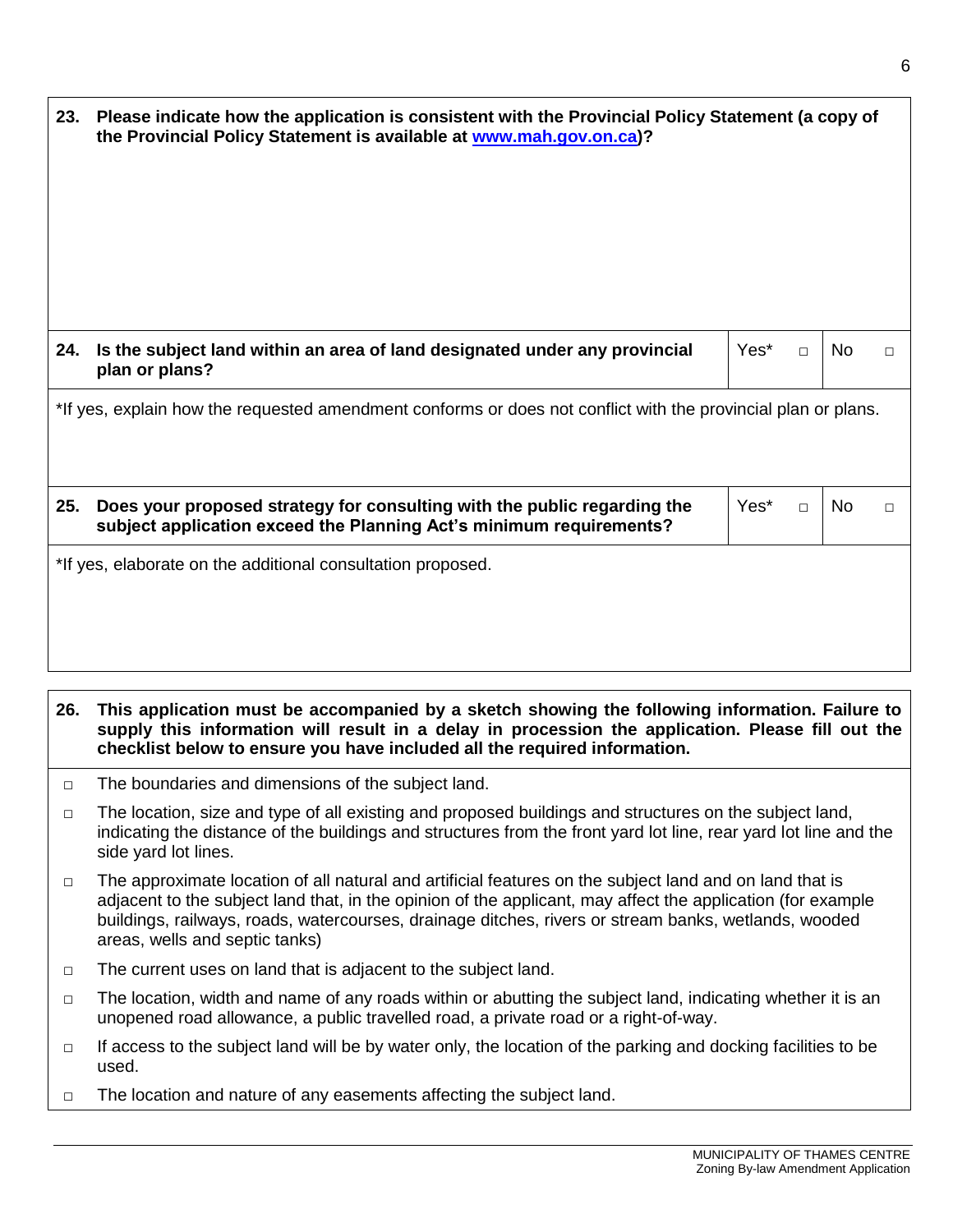| 23. Please indicate how the application is consistent with the Provincial Policy Statement (a copy of<br>the Provincial Policy Statement is available at www.mah.gov.on.ca)? |                                                                                                                                                 |      |        |           |        |
|------------------------------------------------------------------------------------------------------------------------------------------------------------------------------|-------------------------------------------------------------------------------------------------------------------------------------------------|------|--------|-----------|--------|
| 24.                                                                                                                                                                          | Is the subject land within an area of land designated under any provincial<br>plan or plans?                                                    | Yes* | $\Box$ | <b>No</b> | $\Box$ |
| *If yes, explain how the requested amendment conforms or does not conflict with the provincial plan or plans.                                                                |                                                                                                                                                 |      |        |           |        |
| 25.                                                                                                                                                                          | Does your proposed strategy for consulting with the public regarding the<br>subject application exceed the Planning Act's minimum requirements? | Yes* | $\Box$ | No.       | $\Box$ |
|                                                                                                                                                                              | *If yes, elaborate on the additional consultation proposed.                                                                                     |      |        |           |        |

**26. This application must be accompanied by a sketch showing the following information. Failure to supply this information will result in a delay in procession the application. Please fill out the checklist below to ensure you have included all the required information.**

- □ The boundaries and dimensions of the subject land.
- $\Box$  The location, size and type of all existing and proposed buildings and structures on the subject land, indicating the distance of the buildings and structures from the front yard lot line, rear yard lot line and the side yard lot lines.
- □ The approximate location of all natural and artificial features on the subject land and on land that is adjacent to the subject land that, in the opinion of the applicant, may affect the application (for example buildings, railways, roads, watercourses, drainage ditches, rivers or stream banks, wetlands, wooded areas, wells and septic tanks)
- □ The current uses on land that is adjacent to the subject land.
- $\Box$  The location, width and name of any roads within or abutting the subject land, indicating whether it is an unopened road allowance, a public travelled road, a private road or a right-of-way.
- $\Box$  If access to the subject land will be by water only, the location of the parking and docking facilities to be used.
- □ The location and nature of any easements affecting the subject land.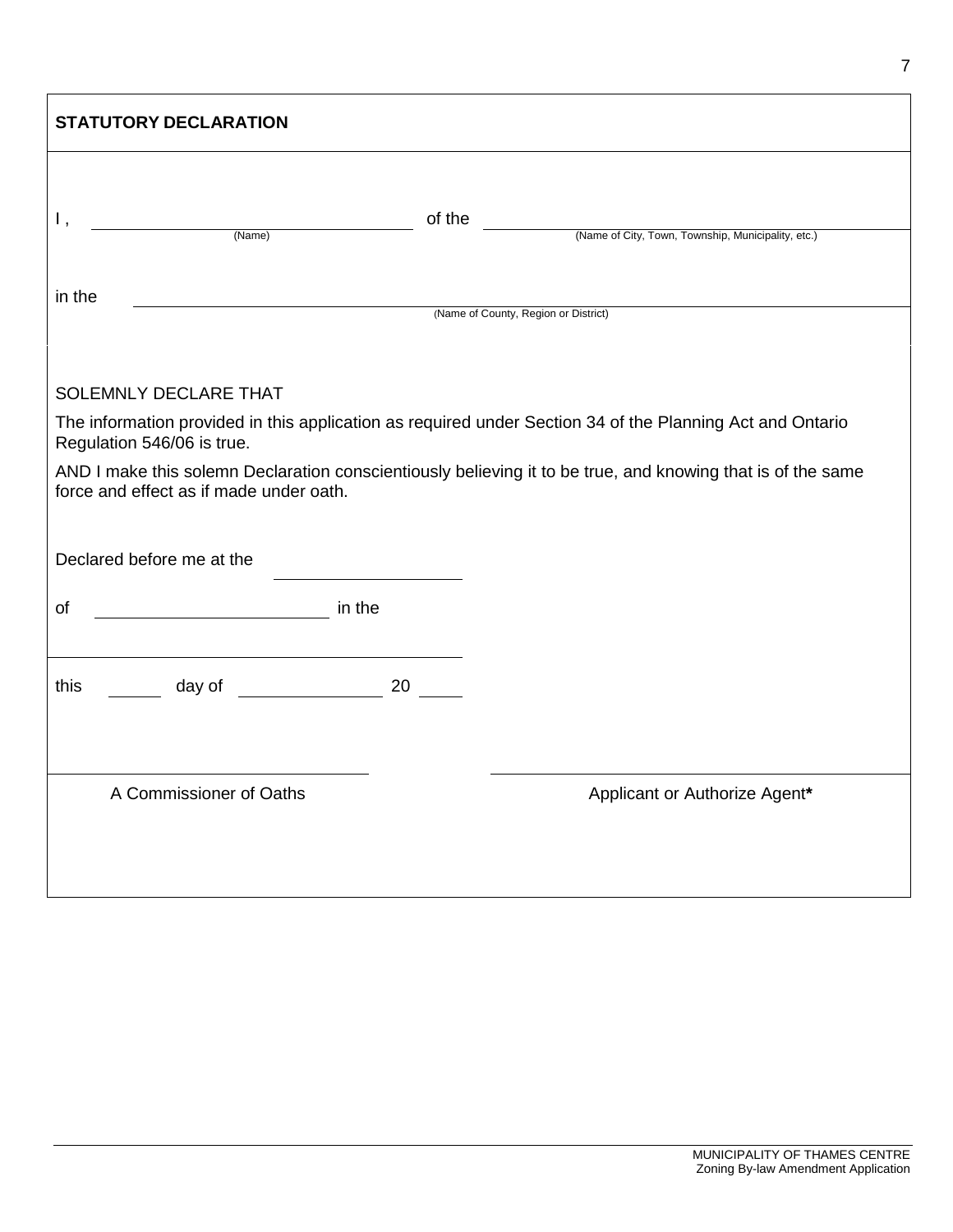| <b>STATUTORY DECLARATION</b>                                                                                                                           |        |                                                                                                           |  |  |  |
|--------------------------------------------------------------------------------------------------------------------------------------------------------|--------|-----------------------------------------------------------------------------------------------------------|--|--|--|
| Ι,<br>(Name)                                                                                                                                           | of the |                                                                                                           |  |  |  |
|                                                                                                                                                        |        | (Name of City, Town, Township, Municipality, etc.)                                                        |  |  |  |
| in the                                                                                                                                                 |        |                                                                                                           |  |  |  |
|                                                                                                                                                        |        | (Name of County, Region or District)                                                                      |  |  |  |
| SOLEMNLY DECLARE THAT                                                                                                                                  |        |                                                                                                           |  |  |  |
| Regulation 546/06 is true.                                                                                                                             |        | The information provided in this application as required under Section 34 of the Planning Act and Ontario |  |  |  |
| AND I make this solemn Declaration conscientiously believing it to be true, and knowing that is of the same<br>force and effect as if made under oath. |        |                                                                                                           |  |  |  |
|                                                                                                                                                        |        |                                                                                                           |  |  |  |
| Declared before me at the                                                                                                                              |        |                                                                                                           |  |  |  |
| in the<br>of                                                                                                                                           |        |                                                                                                           |  |  |  |
|                                                                                                                                                        |        |                                                                                                           |  |  |  |
| this                                                                                                                                                   |        |                                                                                                           |  |  |  |
|                                                                                                                                                        |        |                                                                                                           |  |  |  |
|                                                                                                                                                        |        |                                                                                                           |  |  |  |
| A Commissioner of Oaths                                                                                                                                |        | Applicant or Authorize Agent*                                                                             |  |  |  |
|                                                                                                                                                        |        |                                                                                                           |  |  |  |
|                                                                                                                                                        |        |                                                                                                           |  |  |  |

 $\mathbf{r}$